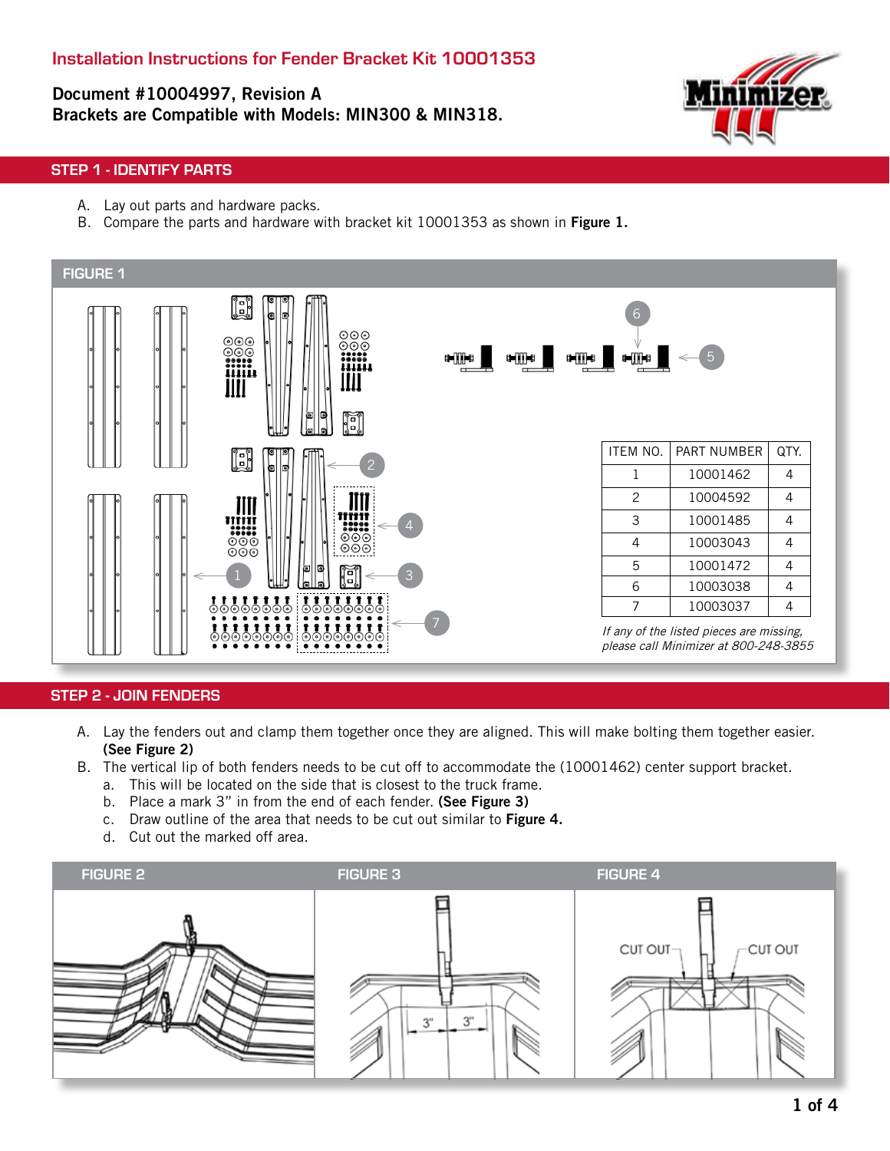# Document #10004997, Revision A Brackets are Compatible with Models: MIN300 & MIN318.



### STEP 1 - IDENTIFY PARTS

- A. Lay out parts and hardware packs.
- B. Compare the parts and hardware with bracket kit 10001353 as shown in Figure 1.



#### STEP 2 - JOIN FENDERS

- A. Lay the fenders out and clamp them together once they are aligned. This will make bolting them together easier. (See Figure 2)
- B. The vertical lip of both fenders needs to be cut off to accommodate the (10001462) center support bracket.
	- a. This will be located on the side that is closest to the truck frame.
	- b. Place a mark 3" in from the end of each fender. (See Figure 3)
	- c. Draw outline of the area that needs to be cut out similar to Figure 4.
	- d. Cut out the marked off area.

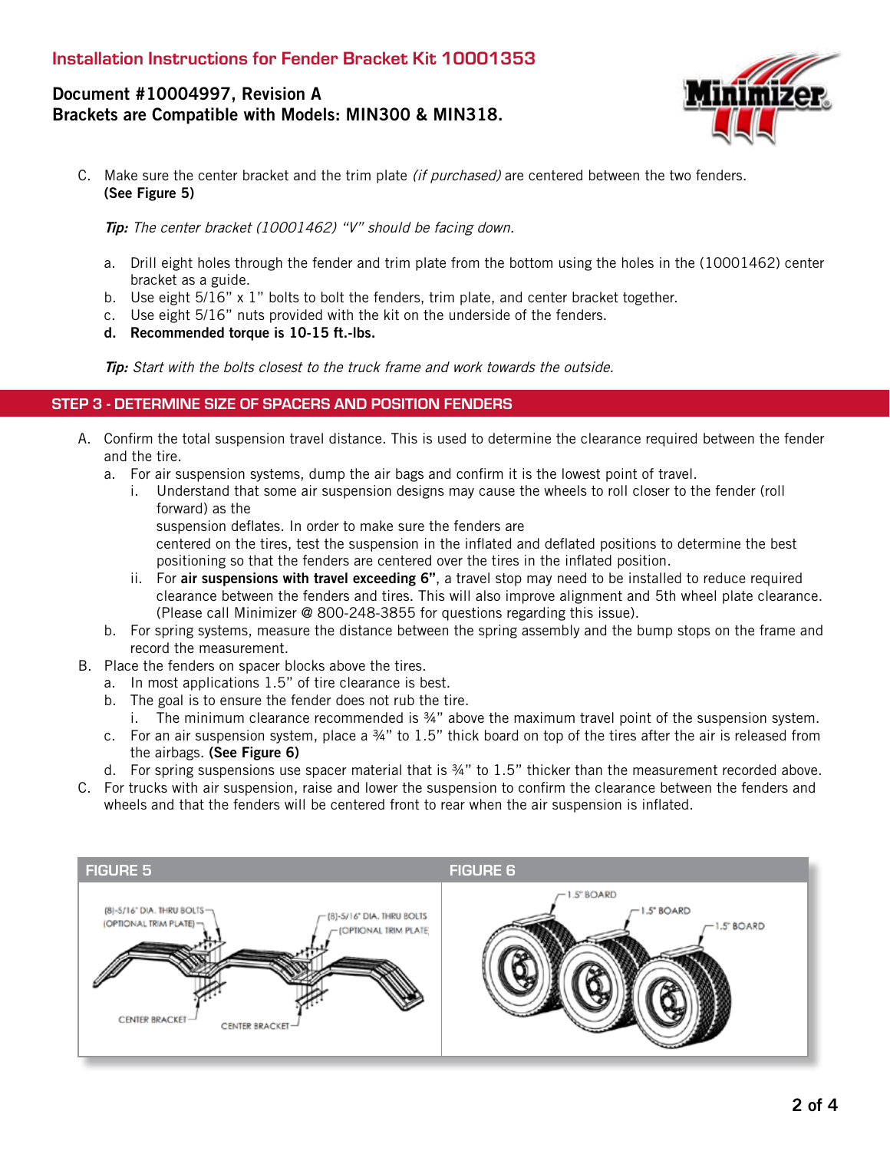# Document #10004997, Revision A Brackets are Compatible with Models: MIN300 & MIN318.



C. Make sure the center bracket and the trim plate *(if purchased)* are centered between the two fenders. (See Figure 5)

Tip: The center bracket (10001462) "V" should be facing down.

- a. Drill eight holes through the fender and trim plate from the bottom using the holes in the (10001462) center bracket as a guide.
- b. Use eight  $5/16$ " x 1" bolts to bolt the fenders, trim plate, and center bracket together.
- c. Use eight 5/16" nuts provided with the kit on the underside of the fenders.
- d. Recommended torque is 10-15 ft.-lbs.

Tip: Start with the bolts closest to the truck frame and work towards the outside.

#### STEP 3 - DETERMINE SIZE OF SPACERS AND POSITION FENDERS

- A. Confirm the total suspension travel distance. This is used to determine the clearance required between the fender and the tire.
	- a. For air suspension systems, dump the air bags and confirm it is the lowest point of travel.
		- i. Understand that some air suspension designs may cause the wheels to roll closer to the fender (roll forward) as the
			- suspension deflates. In order to make sure the fenders are

centered on the tires, test the suspension in the inflated and deflated positions to determine the best positioning so that the fenders are centered over the tires in the inflated position.

- ii. For air suspensions with travel exceeding 6", a travel stop may need to be installed to reduce required clearance between the fenders and tires. This will also improve alignment and 5th wheel plate clearance. (Please call Minimizer @ 800-248-3855 for questions regarding this issue).
- b. For spring systems, measure the distance between the spring assembly and the bump stops on the frame and record the measurement.
- B. Place the fenders on spacer blocks above the tires.
	- a. In most applications 1.5" of tire clearance is best.
	- b. The goal is to ensure the fender does not rub the tire.
		- i. The minimum clearance recommended is ¾" above the maximum travel point of the suspension system.
	- c. For an air suspension system, place a ¾" to 1.5" thick board on top of the tires after the air is released from the airbags. (See Figure 6)
	- d. For spring suspensions use spacer material that is ¾" to 1.5" thicker than the measurement recorded above.
- C. For trucks with air suspension, raise and lower the suspension to confirm the clearance between the fenders and wheels and that the fenders will be centered front to rear when the air suspension is inflated.

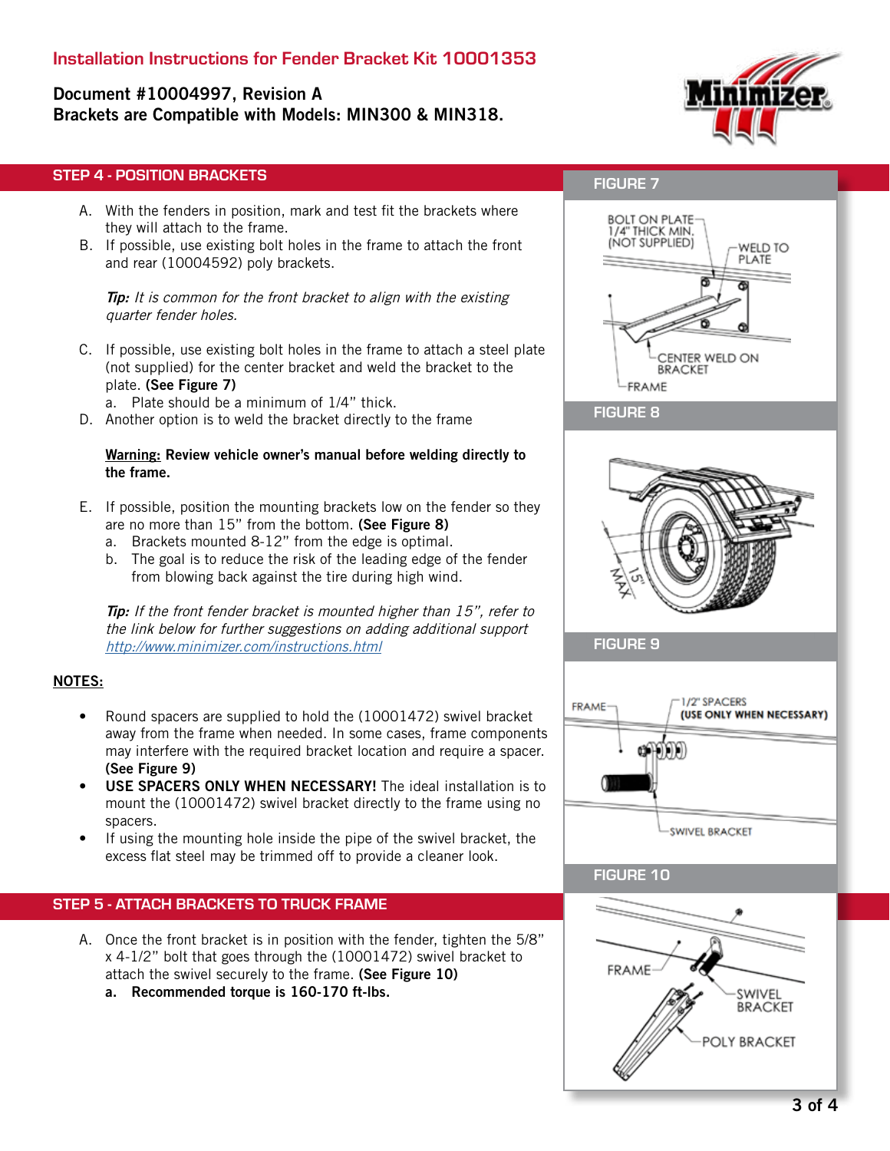# Installation Instructions for Fender Bracket Kit 10001353

# Document #10004997, Revision A Brackets are Compatible with Models: MIN300 & MIN318.



## STEP 4 - POSITION BRACKETS

- A. With the fenders in position, mark and test fit the brackets where they will attach to the frame.
- B. If possible, use existing bolt holes in the frame to attach the front and rear (10004592) poly brackets.

**Tip:** It is common for the front bracket to align with the existing quarter fender holes.

C. If possible, use existing bolt holes in the frame to attach a steel plate (not supplied) for the center bracket and weld the bracket to the plate. (See Figure 7)

a. Plate should be a minimum of 1/4" thick.

D. Another option is to weld the bracket directly to the frame

#### Warning: Review vehicle owner's manual before welding directly to the frame.

- E. If possible, position the mounting brackets low on the fender so they are no more than 15" from the bottom. (See Figure 8)
	- a. Brackets mounted 8-12" from the edge is optimal.
	- b. The goal is to reduce the risk of the leading edge of the fender from blowing back against the tire during high wind.

Tip: If the front fender bracket is mounted higher than 15", refer to the link below for further suggestions on adding additional support http://www.minimizer.com/instructions.html

#### NOTES:

- Round spacers are supplied to hold the (10001472) swivel bracket away from the frame when needed. In some cases, frame components may interfere with the required bracket location and require a spacer. (See Figure 9)
- USE SPACERS ONLY WHEN NECESSARY! The ideal installation is to mount the (10001472) swivel bracket directly to the frame using no spacers.
- If using the mounting hole inside the pipe of the swivel bracket, the excess flat steel may be trimmed off to provide a cleaner look.

### STEP 5 - ATTACH BRACKETS TO TRUCK FRAME

- A. Once the front bracket is in position with the fender, tighten the 5/8" x 4-1/2" bolt that goes through the (10001472) swivel bracket to attach the swivel securely to the frame. (See Figure 10)
	- a. Recommended torque is 160-170 ft-lbs.

## FIGURE 7



#### FIGURE 8



FIGURE 9



### FIGURE 10